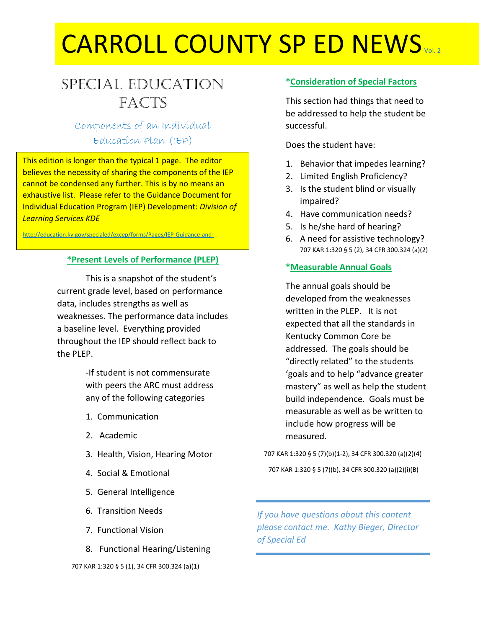# CARROLL COUNTY SP ED NEWS

# Special Education **FACTS**

Components of an Individual Education Plan (IEP)

This edition is longer than the typical 1 page. The editor believes the necessity of sharing the components of the IEP cannot be condensed any further. This is by no means an exhaustive list. Please refer to the Guidance Document for Individual Education Program (IEP) Development: *Division of Learning Services KDE*

<http://education.ky.gov/specialed/excep/forms/Pages/IEP-Guidance-and->

documents.aspx<br>aspx

#### **\*Present Levels of Performance (PLEP)**

This is a snapshot of the student's current grade level, based on performance data, includes strengths as well as weaknesses. The performance data includes a baseline level. Everything provided throughout the IEP should reflect back to the PLEP.

> -If student is not commensurate with peers the ARC must address any of the following categories

- 1. Communication
- 2. Academic
- 3. Health, Vision, Hearing Motor
- 4. Social & Emotional
- 5. General Intelligence
- 6. Transition Needs
- 7. Functional Vision
- 8. Functional Hearing/Listening

#### 707 KAR 1:320 § 5 (1), 34 CFR 300.324 (a)(1)

#### **\*Consideration of Special Factors**

This section had things that need to be addressed to help the student be successful.

Does the student have:

- 1. Behavior that impedes learning?
- 2. Limited English Proficiency?
- 3. Is the student blind or visually impaired?
- 4. Have communication needs?
- 5. Is he/she hard of hearing?
- 6. A need for assistive technology? 707 KAR 1:320 § 5 (2), 34 CFR 300.324 (a)(2)

#### **\*Measurable Annual Goals**

The annual goals should be developed from the weaknesses written in the PLEP. It is not expected that all the standards in Kentucky Common Core be addressed. The goals should be "directly related" to the students 'goals and to help "advance greater mastery" as well as help the student build independence. Goals must be measurable as well as be written to include how progress will be measured.

707 KAR 1:320 § 5 (7)(b)(1-2), 34 CFR 300.320 (a)(2)(4)

707 KAR 1:320 § 5 (7)(b), 34 CFR 300.320 (a)(2)(i)(B)

*If you have questions about this content please contact me. Kathy Bieger, Director of Special Ed*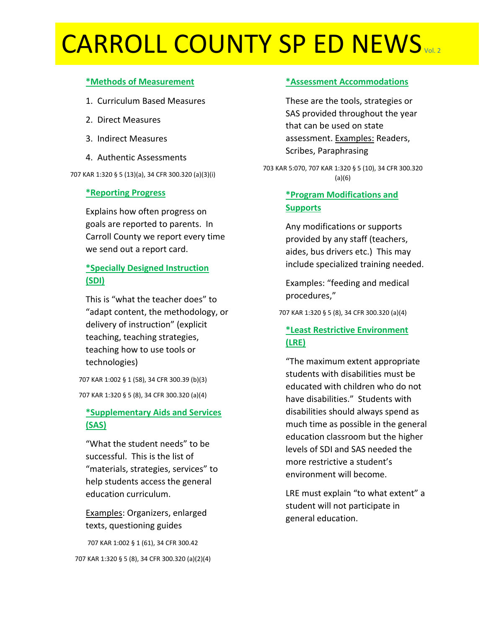# CARROLL COUNTY SP ED NEWS

### **\*Methods of Measurement**

- 1. Curriculum Based Measures
- 2. Direct Measures
- 3. Indirect Measures
- 4. Authentic Assessments

707 KAR 1:320 § 5 (13)(a), 34 CFR 300.320 (a)(3)(i)

### **\*Reporting Progress**

Explains how often progress on goals are reported to parents. In Carroll County we report every time we send out a report card.

# **\*Specially Designed Instruction (SDI)**

This is "what the teacher does" to "adapt content, the methodology, or delivery of instruction" (explicit teaching, teaching strategies, teaching how to use tools or technologies)

707 KAR 1:002 § 1 (58), 34 CFR 300.39 (b)(3)

707 KAR 1:320 § 5 (8), 34 CFR 300.320 (a)(4)

# **\*Supplementary Aids and Services (SAS)**

"What the student needs" to be successful. This is the list of "materials, strategies, services" to help students access the general education curriculum.

Examples: Organizers, enlarged texts, questioning guides

707 KAR 1:002 § 1 (61), 34 CFR 300.42 707 KAR 1:320 § 5 (8), 34 CFR 300.320 (a)(2)(4)

## **\*Assessment Accommodations**

These are the tools, strategies or SAS provided throughout the year that can be used on state assessment. Examples: Readers, Scribes, Paraphrasing

703 KAR 5:070, 707 KAR 1:320 § 5 (10), 34 CFR 300.320 (a)(6)

# **\*Program Modifications and Supports**

Any modifications or supports provided by any staff (teachers, aides, bus drivers etc.) This may include specialized training needed.

Examples: "feeding and medical procedures,"

707 KAR 1:320 § 5 (8), 34 CFR 300.320 (a)(4)

# **\*Least Restrictive Environment (LRE)**

"The maximum extent appropriate students with disabilities must be educated with children who do not have disabilities." Students with disabilities should always spend as much time as possible in the general education classroom but the higher levels of SDI and SAS needed the more restrictive a student's environment will become.

LRE must explain "to what extent" a student will not participate in general education.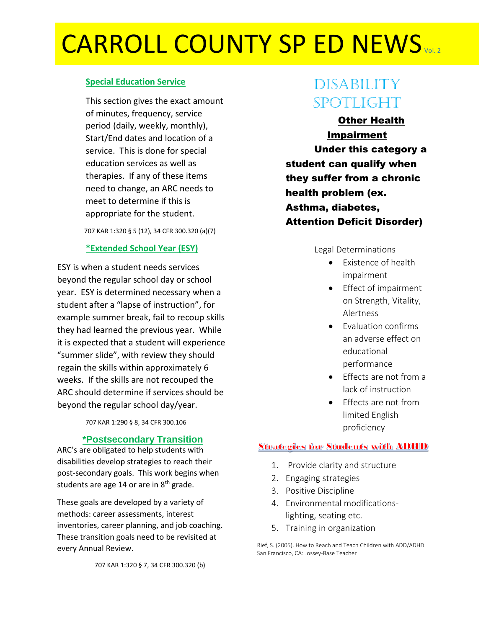# CARROLL COUNTY SP ED NEWS

## **Special Education Service**

This section gives the exact amount of minutes, frequency, service period (daily, weekly, monthly), Start/End dates and location of a service. This is done for special education services as well as therapies. If any of these items need to change, an ARC needs to meet to determine if this is appropriate for the student.

707 KAR 1:320 § 5 (12), 34 CFR 300.320 (a)(7)

## **\*Extended School Year (ESY)**

ESY is when a student needs services beyond the regular school day or school year. ESY is determined necessary when a student after a "lapse of instruction", for example summer break, fail to recoup skills they had learned the previous year. While it is expected that a student will experience "summer slide", with review they should regain the skills within approximately 6 weeks. If the skills are not recouped the ARC should determine if services should be beyond the regular school day/year.

707 KAR 1:290 § 8, 34 CFR 300.106

### **\*Postsecondary Transition**

ARC's are obligated to help students with disabilities develop strategies to reach their post-secondary goals. This work begins when students are age 14 or are in  $8<sup>th</sup>$  grade.

These goals are developed by a variety of methods: career assessments, interest inventories, career planning, and job coaching. These transition goals need to be revisited at every Annual Review.

707 KAR 1:320 § 7, 34 CFR 300.320 (b)

# **DISABILITY** Spotlight

Other Health Impairment Under this category a student can qualify when they suffer from a chronic health problem (ex. Asthma, diabetes, Attention Deficit Disorder)

#### Legal Determinations

- Existence of health impairment
- Effect of impairment on Strength, Vitality, Alertness
- Evaluation confirms an adverse effect on educational performance
- $\bullet$  Fffects are not from a lack of instruction
- Effects are not from limited English proficiency

# **Strategies for Students with ADHD**

- 1. Provide clarity and structure
- 2. Engaging strategies
- 3. Positive Discipline
- 4. Environmental modificationslighting, seating etc.
- 5. Training in organization

Rief, S. (2005). How to Reach and Teach Children with ADD/ADHD. San Francisco, CA: Jossey-Base Teacher